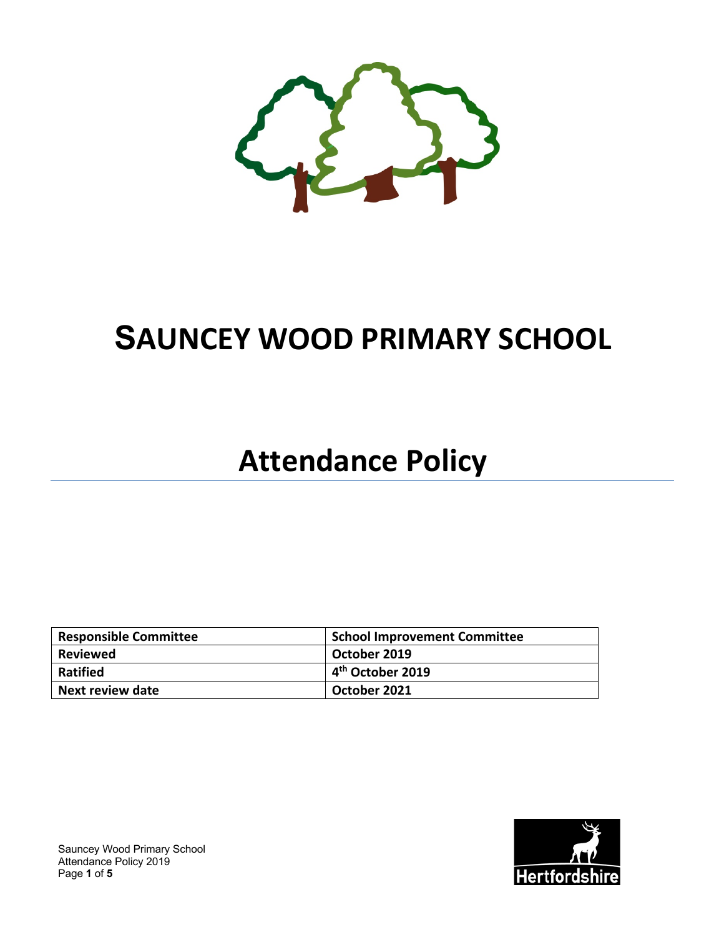

# **SAUNCEY WOOD PRIMARY SCHOOL**

## **Attendance Policy**

| <b>Responsible Committee</b> | <b>School Improvement Committee</b> |
|------------------------------|-------------------------------------|
| Reviewed                     | October 2019                        |
| <b>Ratified</b>              | $4th$ October 2019                  |
| Next review date             | October 2021                        |



Sauncey Wood Primary School Attendance Policy 2019 Page **1** of **5**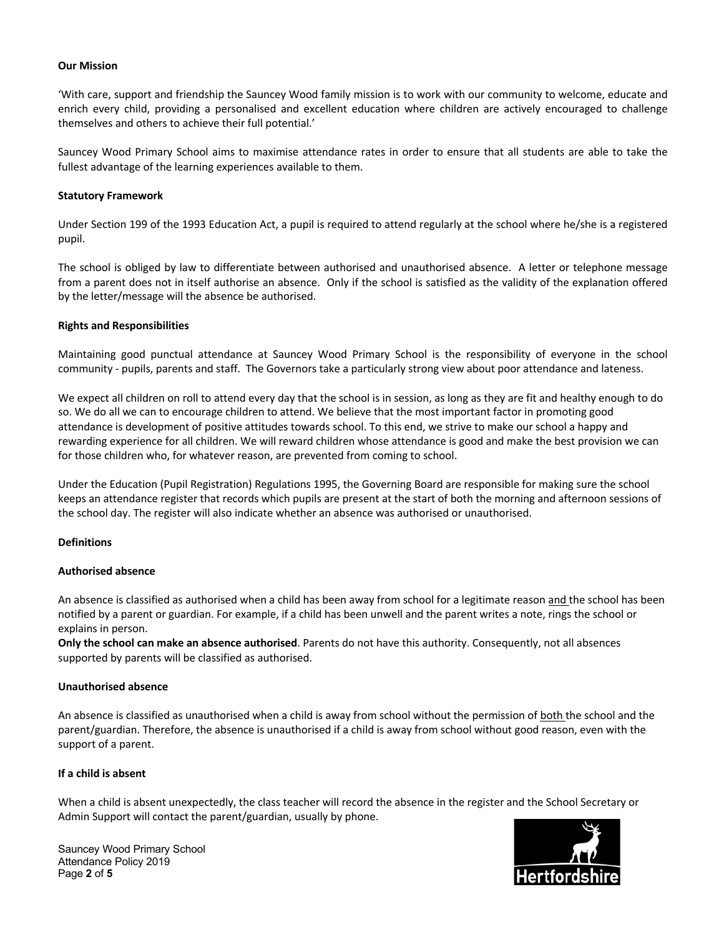#### **Our Mission**

'With care, support and friendship the Sauncey Wood family mission is to work with our community to welcome, educate and enrich every child, providing a personalised and excellent education where children are actively encouraged to challenge themselves and others to achieve their full potential.'

Sauncey Wood Primary School aims to maximise attendance rates in order to ensure that all students are able to take the fullest advantage of the learning experiences available to them.

#### **Statutory Framework**

Under Section 199 of the 1993 Education Act, a pupil is required to attend regularly at the school where he/she is a registered pupil.

The school is obliged by law to differentiate between authorised and unauthorised absence. A letter or telephone message from a parent does not in itself authorise an absence. Only if the school is satisfied as the validity of the explanation offered by the letter/message will the absence be authorised.

#### **Rights and Responsibilities**

Maintaining good punctual attendance at Sauncey Wood Primary School is the responsibility of everyone in the school community - pupils, parents and staff. The Governors take a particularly strong view about poor attendance and lateness.

We expect all children on roll to attend every day that the school is in session, as long as they are fit and healthy enough to do so. We do all we can to encourage children to attend. We believe that the most important factor in promoting good attendance is development of positive attitudes towards school. To this end, we strive to make our school a happy and rewarding experience for all children. We will reward children whose attendance is good and make the best provision we can for those children who, for whatever reason, are prevented from coming to school.

Under the Education (Pupil Registration) Regulations 1995, the Governing Board are responsible for making sure the school keeps an attendance register that records which pupils are present at the start of both the morning and afternoon sessions of the school day. The register will also indicate whether an absence was authorised or unauthorised.

#### **Definitions**

#### **Authorised absence**

An absence is classified as authorised when a child has been away from school for a legitimate reason and the school has been notified by a parent or guardian. For example, if a child has been unwell and the parent writes a note, rings the school or explains in person.

**Only the school can make an absence authorised**. Parents do not have this authority. Consequently, not all absences supported by parents will be classified as authorised.

#### **Unauthorised absence**

An absence is classified as unauthorised when a child is away from school without the permission of both the school and the parent/guardian. Therefore, the absence is unauthorised if a child is away from school without good reason, even with the support of a parent.

## **If a child is absent**

When a child is absent unexpectedly, the class teacher will record the absence in the register and the School Secretary or Admin Support will contact the parent/guardian, usually by phone.

Sauncey Wood Primary School Attendance Policy 2019 Page **2** of **5**

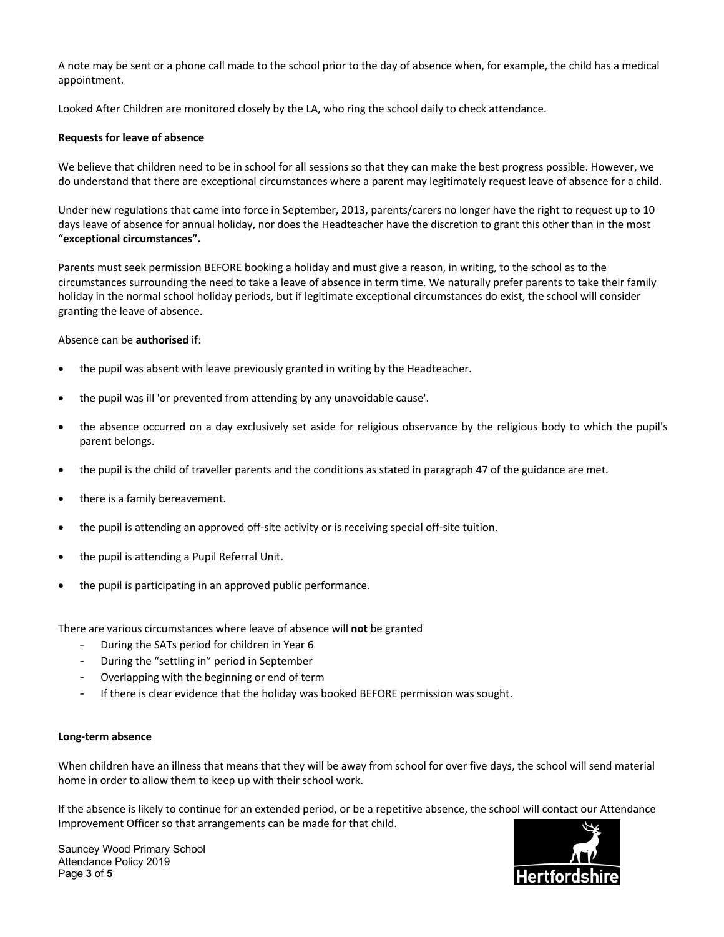A note may be sent or a phone call made to the school prior to the day of absence when, for example, the child has a medical appointment.

Looked After Children are monitored closely by the LA, who ring the school daily to check attendance.

## **Requests for leave of absence**

We believe that children need to be in school for all sessions so that they can make the best progress possible. However, we do understand that there are exceptional circumstances where a parent may legitimately request leave of absence for a child.

Under new regulations that came into force in September, 2013, parents/carers no longer have the right to request up to 10 days leave of absence for annual holiday, nor does the Headteacher have the discretion to grant this other than in the most "**exceptional circumstances".** 

Parents must seek permission BEFORE booking a holiday and must give a reason, in writing, to the school as to the circumstances surrounding the need to take a leave of absence in term time. We naturally prefer parents to take their family holiday in the normal school holiday periods, but if legitimate exceptional circumstances do exist, the school will consider granting the leave of absence.

#### Absence can be **authorised** if:

- the pupil was absent with leave previously granted in writing by the Headteacher.
- the pupil was ill 'or prevented from attending by any unavoidable cause'.
- the absence occurred on a day exclusively set aside for religious observance by the religious body to which the pupil's parent belongs.
- the pupil is the child of traveller parents and the conditions as stated in paragraph 47 of the guidance are met.
- there is a family bereavement.
- the pupil is attending an approved off-site activity or is receiving special off-site tuition.
- the pupil is attending a Pupil Referral Unit.
- the pupil is participating in an approved public performance.

There are various circumstances where leave of absence will **not** be granted

- During the SATs period for children in Year 6
- During the "settling in" period in September
- Overlapping with the beginning or end of term
- If there is clear evidence that the holiday was booked BEFORE permission was sought.

## **Long-term absence**

When children have an illness that means that they will be away from school for over five days, the school will send material home in order to allow them to keep up with their school work.

If the absence is likely to continue for an extended period, or be a repetitive absence, the school will contact our Attendance Improvement Officer so that arrangements can be made for that child.

Sauncey Wood Primary School Attendance Policy 2019 Page **3** of **5**

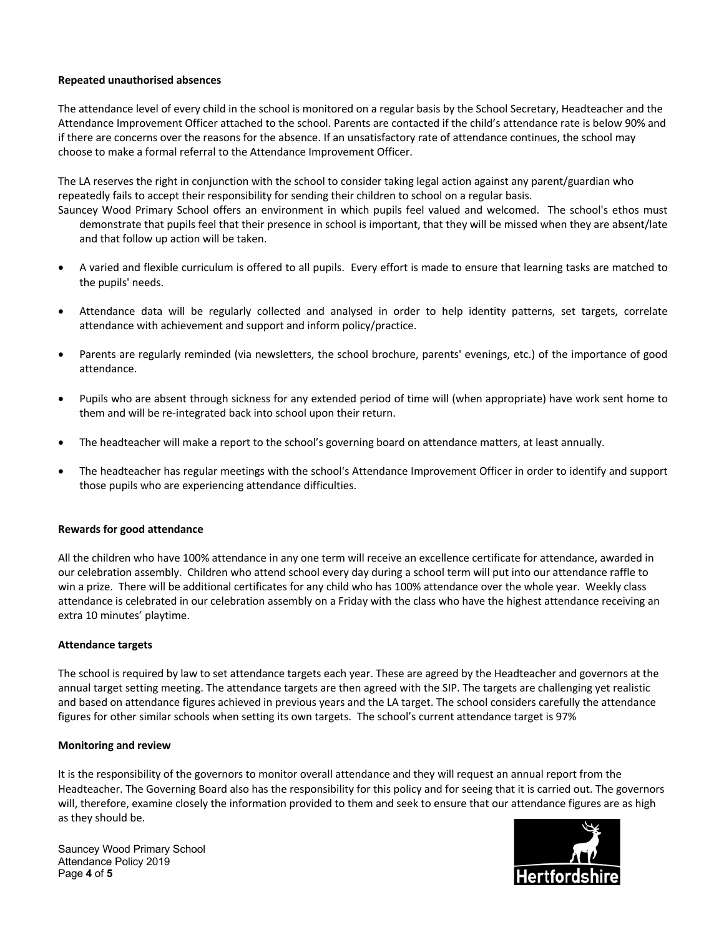## **Repeated unauthorised absences**

The attendance level of every child in the school is monitored on a regular basis by the School Secretary, Headteacher and the Attendance Improvement Officer attached to the school. Parents are contacted if the child's attendance rate is below 90% and if there are concerns over the reasons for the absence. If an unsatisfactory rate of attendance continues, the school may choose to make a formal referral to the Attendance Improvement Officer.

The LA reserves the right in conjunction with the school to consider taking legal action against any parent/guardian who repeatedly fails to accept their responsibility for sending their children to school on a regular basis.

- Sauncey Wood Primary School offers an environment in which pupils feel valued and welcomed. The school's ethos must demonstrate that pupils feel that their presence in school is important, that they will be missed when they are absent/late and that follow up action will be taken.
- A varied and flexible curriculum is offered to all pupils. Every effort is made to ensure that learning tasks are matched to the pupils' needs.
- Attendance data will be regularly collected and analysed in order to help identity patterns, set targets, correlate attendance with achievement and support and inform policy/practice.
- Parents are regularly reminded (via newsletters, the school brochure, parents' evenings, etc.) of the importance of good attendance.
- Pupils who are absent through sickness for any extended period of time will (when appropriate) have work sent home to them and will be re-integrated back into school upon their return.
- The headteacher will make a report to the school's governing board on attendance matters, at least annually.
- The headteacher has regular meetings with the school's Attendance Improvement Officer in order to identify and support those pupils who are experiencing attendance difficulties.

#### **Rewards for good attendance**

All the children who have 100% attendance in any one term will receive an excellence certificate for attendance, awarded in our celebration assembly. Children who attend school every day during a school term will put into our attendance raffle to win a prize. There will be additional certificates for any child who has 100% attendance over the whole year. Weekly class attendance is celebrated in our celebration assembly on a Friday with the class who have the highest attendance receiving an extra 10 minutes' playtime.

## **Attendance targets**

The school is required by law to set attendance targets each year. These are agreed by the Headteacher and governors at the annual target setting meeting. The attendance targets are then agreed with the SIP. The targets are challenging yet realistic and based on attendance figures achieved in previous years and the LA target. The school considers carefully the attendance figures for other similar schools when setting its own targets. The school's current attendance target is 97%

#### **Monitoring and review**

It is the responsibility of the governors to monitor overall attendance and they will request an annual report from the Headteacher. The Governing Board also has the responsibility for this policy and for seeing that it is carried out. The governors will, therefore, examine closely the information provided to them and seek to ensure that our attendance figures are as high as they should be.

Sauncey Wood Primary School Attendance Policy 2019 Page **4** of **5**